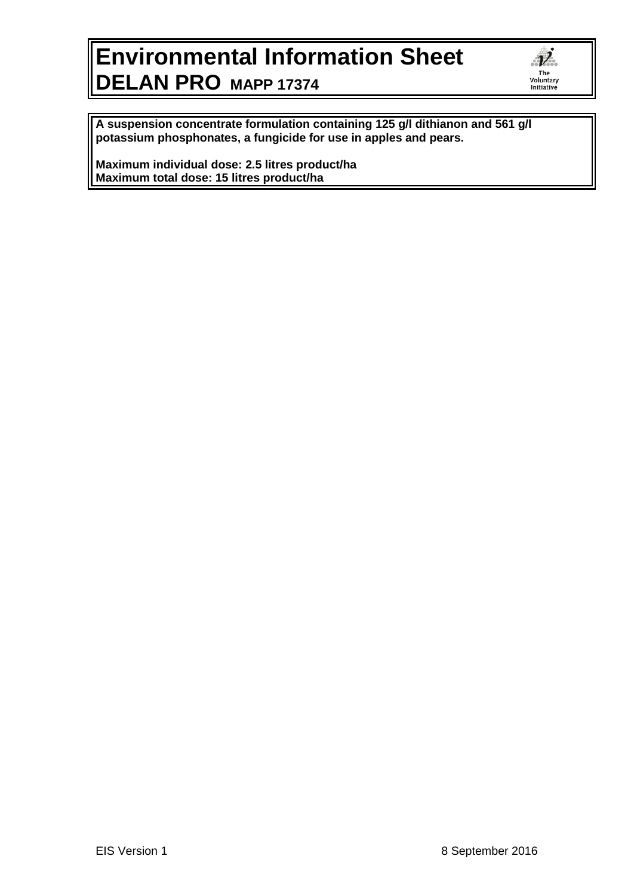## **Environmental Information Sheet DELAN PRO MAPP 17374**

 $\overrightarrow{\nu}$ The rne<br>Voluntary<br>Initiative

**A suspension concentrate formulation containing 125 g/l dithianon and 561 g/l potassium phosphonates, a fungicide for use in apples and pears.**

**Maximum individual dose: 2.5 litres product/ha Maximum total dose: 15 litres product/ha**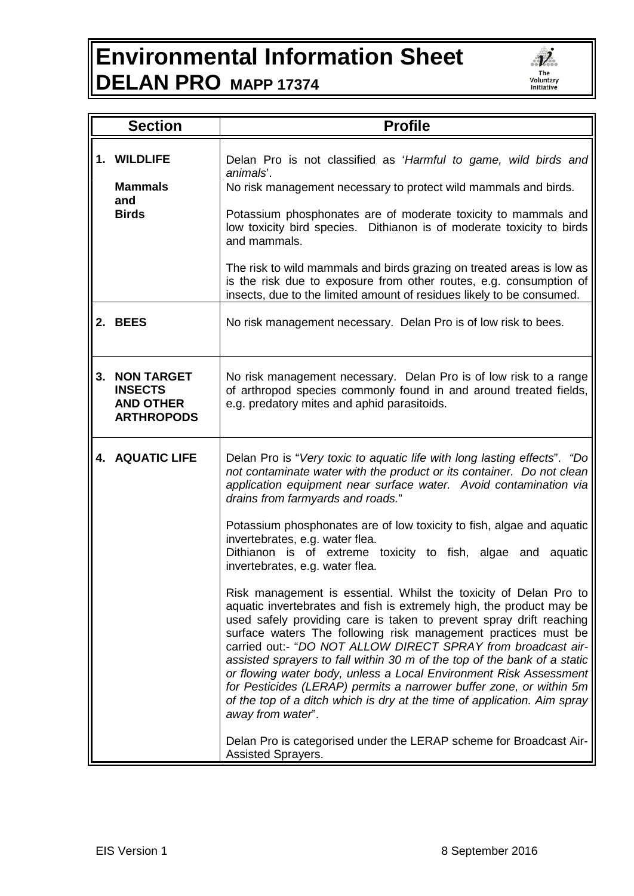## **Environmental Information Sheet DELAN PRO MAPP 17374**



|    | <b>Section</b>                                                               | <b>Profile</b>                                                                                                                                                                                                                                                                                                                                                                                                                                                                                                                                                                                                                                                              |
|----|------------------------------------------------------------------------------|-----------------------------------------------------------------------------------------------------------------------------------------------------------------------------------------------------------------------------------------------------------------------------------------------------------------------------------------------------------------------------------------------------------------------------------------------------------------------------------------------------------------------------------------------------------------------------------------------------------------------------------------------------------------------------|
|    | 1. WILDLIFE<br><b>Mammals</b><br>and<br><b>Birds</b>                         | Delan Pro is not classified as 'Harmful to game, wild birds and<br>animals'.<br>No risk management necessary to protect wild mammals and birds.<br>Potassium phosphonates are of moderate toxicity to mammals and<br>low toxicity bird species. Dithianon is of moderate toxicity to birds<br>and mammals.                                                                                                                                                                                                                                                                                                                                                                  |
|    |                                                                              | The risk to wild mammals and birds grazing on treated areas is low as<br>is the risk due to exposure from other routes, e.g. consumption of<br>insects, due to the limited amount of residues likely to be consumed.                                                                                                                                                                                                                                                                                                                                                                                                                                                        |
| 2. | <b>BEES</b>                                                                  | No risk management necessary. Delan Pro is of low risk to bees.                                                                                                                                                                                                                                                                                                                                                                                                                                                                                                                                                                                                             |
| 3. | <b>NON TARGET</b><br><b>INSECTS</b><br><b>AND OTHER</b><br><b>ARTHROPODS</b> | No risk management necessary. Delan Pro is of low risk to a range<br>of arthropod species commonly found in and around treated fields,<br>e.g. predatory mites and aphid parasitoids.                                                                                                                                                                                                                                                                                                                                                                                                                                                                                       |
|    | <b>4. AQUATIC LIFE</b>                                                       | Delan Pro is "Very toxic to aquatic life with long lasting effects". "Do<br>not contaminate water with the product or its container. Do not clean<br>application equipment near surface water. Avoid contamination via<br>drains from farmyards and roads."                                                                                                                                                                                                                                                                                                                                                                                                                 |
|    |                                                                              | Potassium phosphonates are of low toxicity to fish, algae and aquatic<br>invertebrates, e.g. water flea.<br>Dithianon is of extreme toxicity to fish, algae and aquatic<br>invertebrates, e.g. water flea.                                                                                                                                                                                                                                                                                                                                                                                                                                                                  |
|    |                                                                              | Risk management is essential. Whilst the toxicity of Delan Pro to<br>aquatic invertebrates and fish is extremely high, the product may be<br>used safely providing care is taken to prevent spray drift reaching<br>surface waters The following risk management practices must be<br>carried out:- "DO NOT ALLOW DIRECT SPRAY from broadcast air-<br>assisted sprayers to fall within 30 m of the top of the bank of a static<br>or flowing water body, unless a Local Environment Risk Assessment<br>for Pesticides (LERAP) permits a narrower buffer zone, or within 5m<br>of the top of a ditch which is dry at the time of application. Aim spray<br>away from water". |
|    |                                                                              | Delan Pro is categorised under the LERAP scheme for Broadcast Air-<br>Assisted Sprayers.                                                                                                                                                                                                                                                                                                                                                                                                                                                                                                                                                                                    |